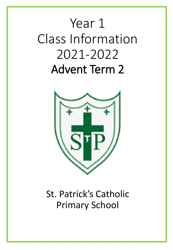# Year 1 Class Information 2021-2022 Advent Term 2



# St. Patrick's Catholic Primary School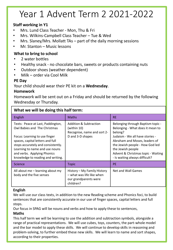# Year 1 Advent Term 2 2021-2022

### **Staff working in Y1**

- Mrs. Lund Class Teacher Mon, Thu & Fri
- Mrs. Wilkins-Campbell Class Teacher Tue & Wed
- Mrs. Slaney/Mrs. Mollatt TAs  $-$  part of the daily morning sessions
- Mr. Stanton Music lessons

### **What to bring to school**

- 2 water bottles
- Healthy snack no chocolate bars, sweets or products containing nuts
- Outdoor shoes (weather dependent)
- Milk order via Cool Milk

### **PE Day**

Your child should wear their PE kit on a **Wednesday**.

#### **Homework**

Homework will be sent out on a Friday and should be returned by the following Wednesday or Thursday.

### **What we will be doing this half term:**

| English                                                                                                                                                                                                                                                                            | <b>Maths</b>                                                                                   | <b>RE</b>                                                                                                                                                                                                                                                                            |
|------------------------------------------------------------------------------------------------------------------------------------------------------------------------------------------------------------------------------------------------------------------------------------|------------------------------------------------------------------------------------------------|--------------------------------------------------------------------------------------------------------------------------------------------------------------------------------------------------------------------------------------------------------------------------------------|
| Texts: Peace at Last, Paddington,<br>Owl Babies and The Christmas<br>Focus: Learning to use finger<br>spaces, capital letters and full<br>stops accurately and consistently.<br>Learning to name and use nouns<br>and verbs. Applying Phonics<br>knowledge to reading and writing. | Addition & Subtraction<br>(within 10)<br>Recognise, name and sort 2-<br>D and 3-D shapes       | Belonging through Baptism topic -<br>Belonging - What does it mean to<br>belong?<br>Judaism - We all have stories -<br>Abraham and Moses, leaders of<br>the Jewish people - How God led<br>the Jewish people<br>Advent & Christmas topic - Waiting<br>- Is waiting always difficult? |
| Science                                                                                                                                                                                                                                                                            | <b>Topic</b>                                                                                   | <b>PE</b>                                                                                                                                                                                                                                                                            |
| All about me - learning about my<br>body and the five senses                                                                                                                                                                                                                       | History - My Family History<br>- what was life like when<br>our grandparents were<br>children? | Net and Wall Games                                                                                                                                                                                                                                                                   |

#### **English**

We will use our class texts, in addition to the new Reading scheme and Phonics foci, to build sentences that are consistently accurate in our use of finger spaces, capital letters and full stops.

Our focus in SPAG will be nouns and verbs and how to apply these to sentences,

#### **Maths**

This half term we will be learning to use the addition and subtraction symbols, alongside a range of practical representations. We will use cubes, toys, counters, the part-whole model and the bar model to apply these skills. We will continue to develop skills in reasoning and problem-solving, to further embed these new skills. We will learn to name and sort shapes, according to their properties.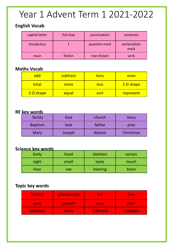# Year 1 Advent Term 1 2021-2022

### **English Vocab**

| capital letter | full stop | punctuation   | sentence            |
|----------------|-----------|---------------|---------------------|
| Vocabulary     |           | question mark | exclamation<br>mark |
| noun           | fiction   | non-fiction   | verb                |

### **Maths Vocab**

| add       | subtract | tens        | ones      |
|-----------|----------|-------------|-----------|
| total     | more     | <u>less</u> | 2-D shape |
| 3-D shape | equal    | sort        | represent |

### **RE key words**

| family         | God    | church | Jesus     |  |
|----------------|--------|--------|-----------|--|
| <b>Baptism</b> | love   | father | pray      |  |
| Mary           | Joseph | Advent | Christmas |  |

### **Science key words**

| body  | head  | skeleton | senses |
|-------|-------|----------|--------|
| sight | smell | taste    | touch  |
| hear  | see   | hearing  | brain  |

### **Topic key words**

| history  | grandparent | old       | new     |  |
|----------|-------------|-----------|---------|--|
| past     | present     | now       | then    |  |
| timeline | same        | different | compare |  |